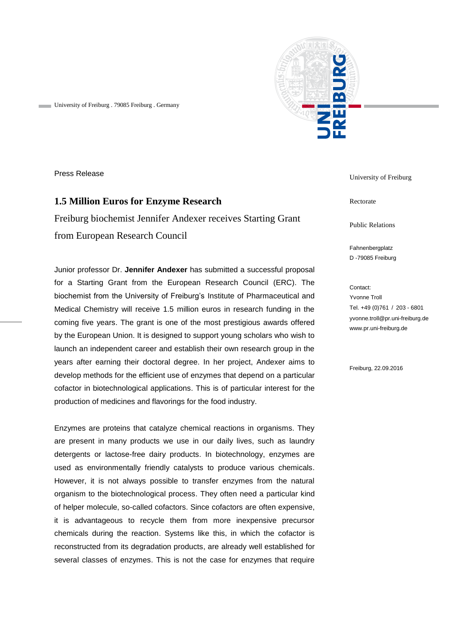

University of Freiburg . 79085 Freiburg . Germany

Press Release

## **1.5 Million Euros for Enzyme Research**

Freiburg biochemist Jennifer Andexer receives Starting Grant from European Research Council

Junior professor Dr. **Jennifer Andexer** has submitted a successful proposal for a Starting Grant from the European Research Council (ERC). The biochemist from the University of Freiburg's Institute of Pharmaceutical and Medical Chemistry will receive 1.5 million euros in research funding in the coming five years. The grant is one of the most prestigious awards offered by the European Union. It is designed to support young scholars who wish to launch an independent career and establish their own research group in the years after earning their doctoral degree. In her project, Andexer aims to develop methods for the efficient use of enzymes that depend on a particular cofactor in biotechnological applications. This is of particular interest for the production of medicines and flavorings for the food industry.

Enzymes are proteins that catalyze chemical reactions in organisms. They are present in many products we use in our daily lives, such as laundry detergents or lactose-free dairy products. In biotechnology, enzymes are used as environmentally friendly catalysts to produce various chemicals. However, it is not always possible to transfer enzymes from the natural organism to the biotechnological process. They often need a particular kind of helper molecule, so-called cofactors. Since cofactors are often expensive, it is advantageous to recycle them from more inexpensive precursor chemicals during the reaction. Systems like this, in which the cofactor is reconstructed from its degradation products, are already well established for several classes of enzymes. This is not the case for enzymes that require

University of Freiburg

Rectorate

Public Relations

Fahnenbergplatz D -79085 Freiburg

Contact: Yvonne Troll Tel. +49 (0)761 / 203 - 6801 yvonne.troll@pr.uni-freiburg.de www.pr.uni-freiburg.de

Freiburg, 22.09.2016